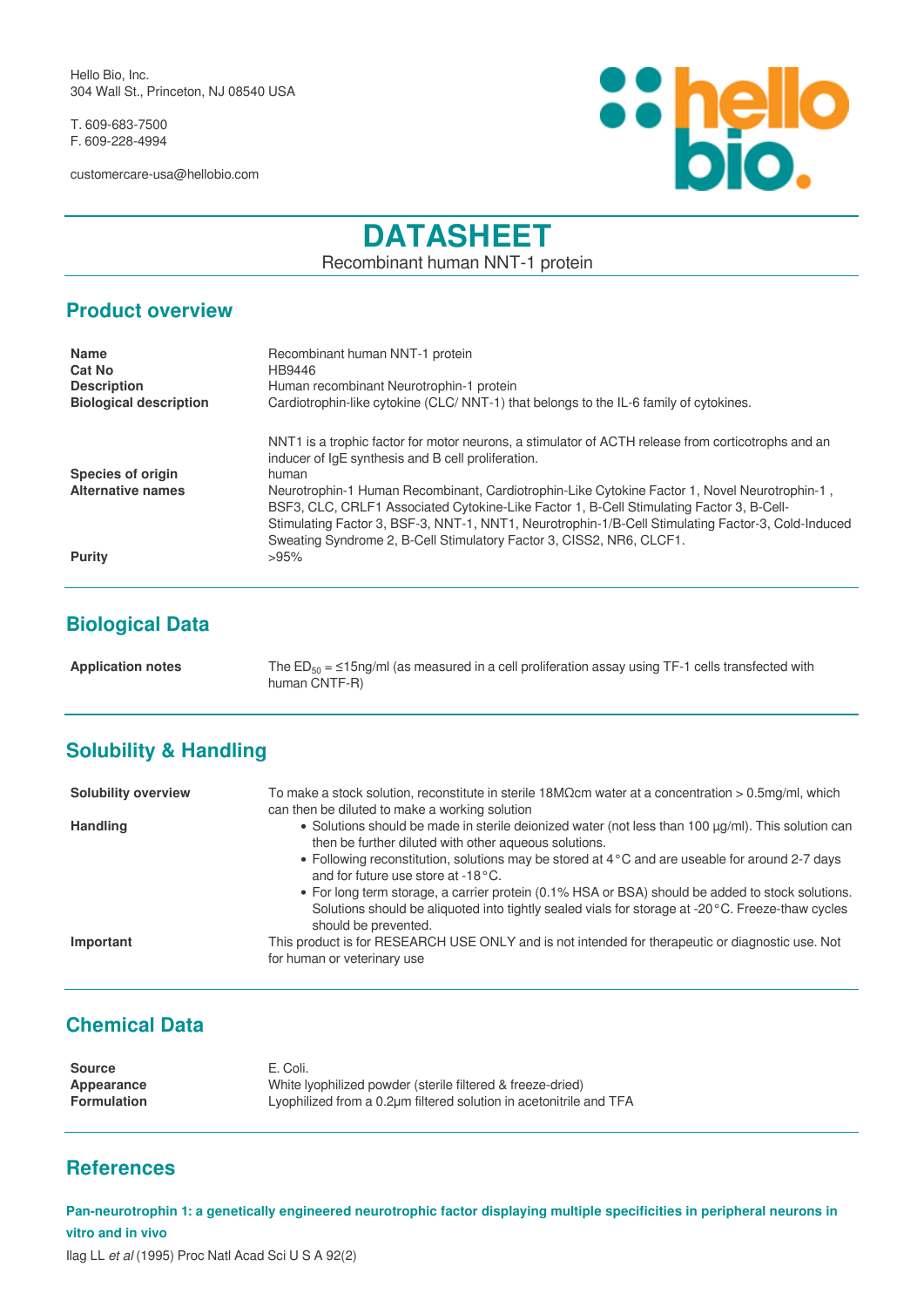Hello Bio, Inc. 304 Wall St., Princeton, NJ 08540 USA

T. 609-683-7500 F. 609-228-4994

customercare-usa@hellobio.com



# **DATASHEET**

Recombinant human NNT-1 protein

#### **Product overview**

| <b>Name</b><br><b>Cat No</b><br><b>Description</b><br><b>Biological description</b> | Recombinant human NNT-1 protein<br>HB9446<br>Human recombinant Neurotrophin-1 protein<br>Cardiotrophin-like cytokine (CLC/NNT-1) that belongs to the IL-6 family of cytokines.                                                                                                                                                                                   |
|-------------------------------------------------------------------------------------|------------------------------------------------------------------------------------------------------------------------------------------------------------------------------------------------------------------------------------------------------------------------------------------------------------------------------------------------------------------|
| <b>Species of origin</b><br><b>Alternative names</b>                                | NNT1 is a trophic factor for motor neurons, a stimulator of ACTH release from corticotrophs and an<br>inducer of $IqE$ synthesis and B cell proliferation.<br>human<br>Neurotrophin-1 Human Recombinant, Cardiotrophin-Like Cytokine Factor 1, Novel Neurotrophin-1,<br>BSF3, CLC, CRLF1 Associated Cytokine-Like Factor 1, B-Cell Stimulating Factor 3, B-Cell- |
| <b>Purity</b>                                                                       | Stimulating Factor 3, BSF-3, NNT-1, NNT1, Neurotrophin-1/B-Cell Stimulating Factor-3, Cold-Induced<br>Sweating Syndrome 2, B-Cell Stimulatory Factor 3, CISS2, NR6, CLCF1.<br>>95%                                                                                                                                                                               |

## **Biological Data**

Application notes The ED<sub>50</sub> = ≤15ng/ml (as measured in a cell proliferation assay using TF-1 cells transfected with human CNTF-R)

## **Solubility & Handling**

| <b>Solubility overview</b> | To make a stock solution, reconstitute in sterile 18M $\Omega$ cm water at a concentration > 0.5mg/ml, which<br>can then be diluted to make a working solution                                                               |
|----------------------------|------------------------------------------------------------------------------------------------------------------------------------------------------------------------------------------------------------------------------|
| <b>Handling</b>            | • Solutions should be made in sterile deionized water (not less than 100 µg/ml). This solution can<br>then be further diluted with other aqueous solutions.                                                                  |
|                            | • Following reconstitution, solutions may be stored at 4 °C and are useable for around 2-7 days<br>and for future use store at -18°C.                                                                                        |
|                            | • For long term storage, a carrier protein (0.1% HSA or BSA) should be added to stock solutions.<br>Solutions should be aliquoted into tightly sealed vials for storage at -20°C. Freeze-thaw cycles<br>should be prevented. |
| Important                  | This product is for RESEARCH USE ONLY and is not intended for therapeutic or diagnostic use. Not<br>for human or veterinary use                                                                                              |

# **Chemical Data**

| <b>Source</b>      | E. Coli.                                                           |
|--------------------|--------------------------------------------------------------------|
| Appearance         | White Ivophilized powder (sterile filtered & freeze-dried)         |
| <b>Formulation</b> | Lyophilized from a 0.2um filtered solution in acetonitrile and TFA |

### **References**

**Pan-neurotrophin 1: a genetically engineered neurotrophic factor displaying multiple specificities in peripheral neurons in vitro and in vivo**